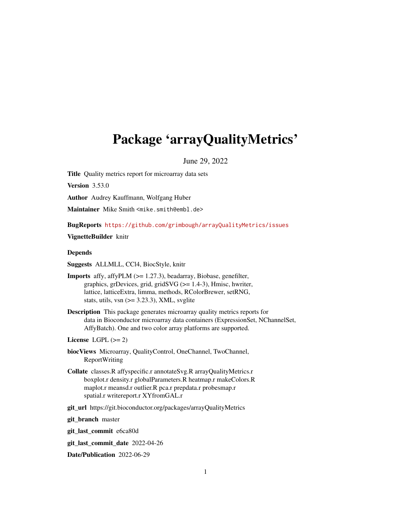# <span id="page-0-0"></span>Package 'arrayQualityMetrics'

June 29, 2022

Title Quality metrics report for microarray data sets

Version 3.53.0

Author Audrey Kauffmann, Wolfgang Huber

Maintainer Mike Smith <mike.smith@embl.de>

BugReports <https://github.com/grimbough/arrayQualityMetrics/issues>

VignetteBuilder knitr

#### Depends

Suggests ALLMLL, CCl4, BiocStyle, knitr

- Imports affy, affyPLM (>= 1.27.3), beadarray, Biobase, genefilter, graphics, grDevices, grid, gridSVG (>= 1.4-3), Hmisc, hwriter, lattice, latticeExtra, limma, methods, RColorBrewer, setRNG, stats, utils, vsn  $(>= 3.23.3)$ , XML, svglite
- Description This package generates microarray quality metrics reports for data in Bioconductor microarray data containers (ExpressionSet, NChannelSet, AffyBatch). One and two color array platforms are supported.

#### License LGPL  $(>= 2)$

- biocViews Microarray, QualityControl, OneChannel, TwoChannel, ReportWriting
- Collate classes.R affyspecific.r annotateSvg.R arrayQualityMetrics.r boxplot.r density.r globalParameters.R heatmap.r makeColors.R maplot.r meansd.r outlier.R pca.r prepdata.r probesmap.r spatial.r writereport.r XYfromGAL.r
- git\_url https://git.bioconductor.org/packages/arrayQualityMetrics

git\_branch master

git\_last\_commit e6ca80d

git\_last\_commit\_date 2022-04-26

Date/Publication 2022-06-29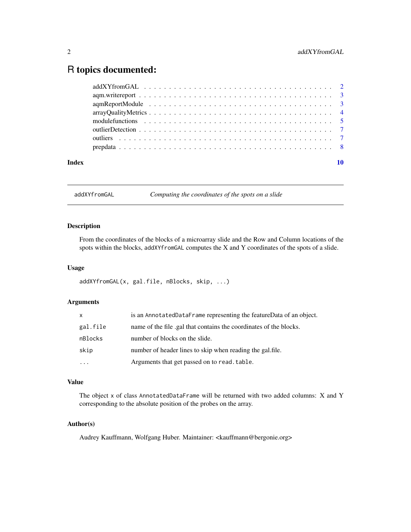# <span id="page-1-0"></span>R topics documented:

| Index |                                                                                                               |
|-------|---------------------------------------------------------------------------------------------------------------|
|       |                                                                                                               |
|       |                                                                                                               |
|       |                                                                                                               |
|       | module functions $\ldots \ldots \ldots \ldots \ldots \ldots \ldots \ldots \ldots \ldots \ldots \ldots \ldots$ |
|       |                                                                                                               |
|       |                                                                                                               |
|       |                                                                                                               |
|       |                                                                                                               |

addXYfromGAL *Computing the coordinates of the spots on a slide*

#### Description

From the coordinates of the blocks of a microarray slide and the Row and Column locations of the spots within the blocks, addXYfromGAL computes the X and Y coordinates of the spots of a slide.

#### Usage

addXYfromGAL(x, gal.file, nBlocks, skip, ...)

#### Arguments

| x.       | is an AnnotatedDataFrame representing the featureData of an object. |
|----------|---------------------------------------------------------------------|
| gal.file | name of the file .gal that contains the coordinates of the blocks.  |
| nBlocks  | number of blocks on the slide.                                      |
| skip     | number of header lines to skip when reading the gal.file.           |
| $\ddots$ | Arguments that get passed on to read. table.                        |

#### Value

The object x of class AnnotatedDataFrame will be returned with two added columns: X and Y corresponding to the absolute position of the probes on the array.

#### Author(s)

Audrey Kauffmann, Wolfgang Huber. Maintainer: <kauffmann@bergonie.org>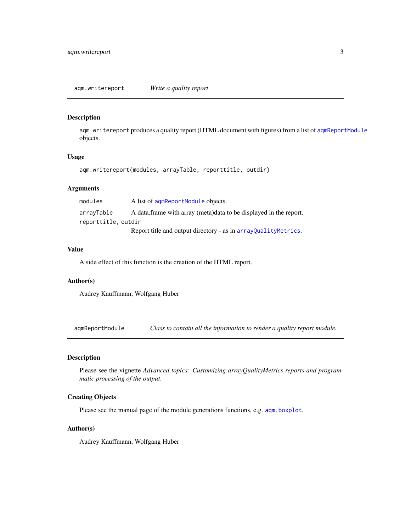#### <span id="page-2-2"></span><span id="page-2-0"></span>Description

aqm.writereport produces a quality report (HTML document with figures) from a list of [aqmReportModule](#page-2-1) objects.

#### Usage

```
aqm.writereport(modules, arrayTable, reporttitle, outdir)
```
#### Arguments

| modules             | A list of agmReportModule objects.                                 |
|---------------------|--------------------------------------------------------------------|
| arrayTable          | A data frame with array (meta) data to be displayed in the report. |
| reporttitle, outdir |                                                                    |
|                     | Report title and output directory - as in array Quality Metrics.   |

#### Value

A side effect of this function is the creation of the HTML report.

#### Author(s)

Audrey Kauffmann, Wolfgang Huber

<span id="page-2-1"></span>aqmReportModule *Class to contain all the information to render a quality report module.*

# Description

Please see the vignette *Advanced topics: Customizing arrayQualityMetrics reports and programmatic processing of the output*.

#### Creating Objects

Please see the manual page of the module generations functions, e.g. [aqm.boxplot](#page-4-1).

#### Author(s)

Audrey Kauffmann, Wolfgang Huber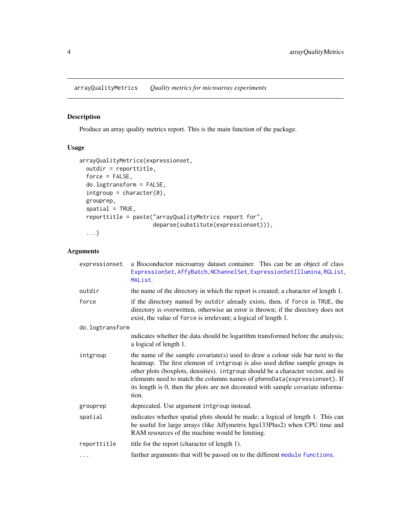<span id="page-3-1"></span><span id="page-3-0"></span>arrayQualityMetrics *Quality metrics for microarray experiments*

#### Description

Produce an array quality metrics report. This is the main function of the package.

# Usage

```
arrayQualityMetrics(expressionset,
 outdir = reporttitle,
 force = FALSE,
 do.logtransform = FALSE,
 intgroup = character(0),
 grouprep,
  spatial = TRUE,
 reporttitle = paste("arrayQualityMetrics report for",
                      deparse(substitute(expressionset))),
  ...)
```
#### Arguments

| expressionset   | a Bioconductor microarray dataset container. This can be an object of class<br>ExpressionSet, AffyBatch, NChannelSet, ExpressionSetIllumina, RGList,<br>MAList.                                                                                                                                                                                                                                                             |
|-----------------|-----------------------------------------------------------------------------------------------------------------------------------------------------------------------------------------------------------------------------------------------------------------------------------------------------------------------------------------------------------------------------------------------------------------------------|
| outdir          | the name of the directory in which the report is created; a character of length 1.                                                                                                                                                                                                                                                                                                                                          |
| force           | if the directory named by outdir already exists, then, if force is TRUE, the<br>directory is overwritten, otherwise an error is thrown; if the directory does not<br>exist, the value of force is irrelevant; a logical of length 1.                                                                                                                                                                                        |
| do.logtransform |                                                                                                                                                                                                                                                                                                                                                                                                                             |
|                 | indicates whether the data should be logarithm transformed before the analysis;<br>a logical of length 1.                                                                                                                                                                                                                                                                                                                   |
| intgroup        | the name of the sample covariate(s) used to draw a colour side bar next to the<br>heatmap. The first element of intgroup is also used define sample groups in<br>other plots (boxplots, densities). intgroup should be a character vector, and its<br>elements need to match the columns names of phenoData(expressionset). If<br>its length is 0, then the plots are not decorated with sample covariate informa-<br>tion. |
| grouprep        | deprecated. Use argument intgroup instead.                                                                                                                                                                                                                                                                                                                                                                                  |
| spatial         | indicates whether spatial plots should be made; a logical of length 1. This can<br>be useful for large arrays (like Affymetrix hgu133Plus2) when CPU time and<br>RAM resources of the machine would be limiting.                                                                                                                                                                                                            |
| reporttitle     | title for the report (character of length 1).                                                                                                                                                                                                                                                                                                                                                                               |
| .               | further arguments that will be passed on to the different module functions.                                                                                                                                                                                                                                                                                                                                                 |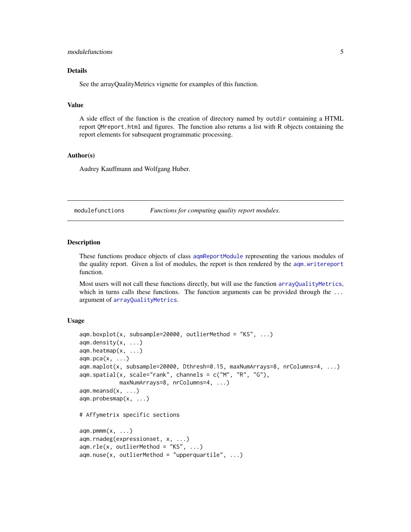#### <span id="page-4-0"></span>module functions 5

#### Details

See the arrayQualityMetrics vignette for examples of this function.

#### Value

A side effect of the function is the creation of directory named by outdir containing a HTML report QMreport.html and figures. The function also returns a list with R objects containing the report elements for subsequent programmatic processing.

#### Author(s)

Audrey Kauffmann and Wolfgang Huber.

modulefunctions *Functions for computing quality report modules.*

#### <span id="page-4-1"></span>Description

These functions produce objects of class [aqmReportModule](#page-2-1) representing the various modules of the quality report. Given a list of modules, the report is then rendered by the [aqm.writereport](#page-2-2) function.

Most users will not call these functions directly, but will use the function [arrayQualityMetrics](#page-3-1), which in turns calls these functions. The function arguments can be provided through the ... argument of [arrayQualityMetrics](#page-3-1).

#### Usage

```
aqm.boxplot(x, subsample=20000, outlierMethod = "KS", ...)
aqm.density(x, ...)
aqm.heatmap(x, ...)
aqm.pca(x, \ldots)aqm.maplot(x, subsample=20000, Dthresh=0.15, maxNumArrays=8, nrColumns=4, ...)
aqm.spatial(x, scale="rank", channels = c("M", "R", "G"),maxNumArrays=8, nrColumns=4, ...)
aqm. meansd(x, \ldots)aqm.probesmap(x, ...)
# Affymetrix specific sections
aqm.pmm(x, \ldots)aqm.rnadeg(expressionset, x, ...)
aqm.rle(x, outlierMethod = "KS", ...)aqm.nuse(x, outlierMethod = "upperquartile", ...)
```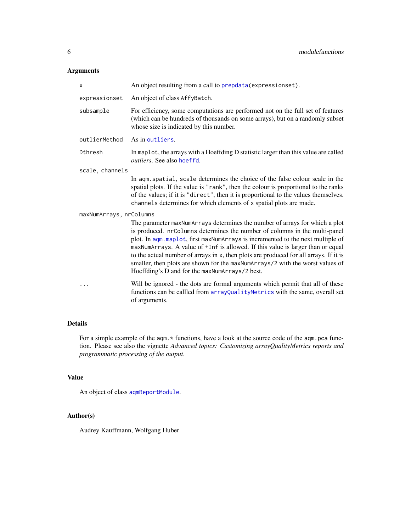# <span id="page-5-0"></span>Arguments

| x                       | An object resulting from a call to prepdata (expressionset).                                                                                                                                                                                                                                                                                                                                                                                                                                                                                               |
|-------------------------|------------------------------------------------------------------------------------------------------------------------------------------------------------------------------------------------------------------------------------------------------------------------------------------------------------------------------------------------------------------------------------------------------------------------------------------------------------------------------------------------------------------------------------------------------------|
| expressionset           | An object of class AffyBatch.                                                                                                                                                                                                                                                                                                                                                                                                                                                                                                                              |
| subsample               | For efficiency, some computations are performed not on the full set of features<br>(which can be hundreds of thousands on some arrays), but on a randomly subset<br>whose size is indicated by this number.                                                                                                                                                                                                                                                                                                                                                |
| outlierMethod           | As in outliers.                                                                                                                                                                                                                                                                                                                                                                                                                                                                                                                                            |
| Dthresh                 | In maplot, the arrays with a Hoeffding D statistic larger than this value are called<br><i>outliers.</i> See also hoeffd.                                                                                                                                                                                                                                                                                                                                                                                                                                  |
| scale, channels         |                                                                                                                                                                                                                                                                                                                                                                                                                                                                                                                                                            |
|                         | In aqm. spatial, scale determines the choice of the false colour scale in the<br>spatial plots. If the value is "rank", then the colour is proportional to the ranks<br>of the values; if it is "direct", then it is proportional to the values themselves.<br>channels determines for which elements of x spatial plots are made.                                                                                                                                                                                                                         |
| maxNumArrays, nrColumns |                                                                                                                                                                                                                                                                                                                                                                                                                                                                                                                                                            |
|                         | The parameter maxNumArrays determines the number of arrays for which a plot<br>is produced. nrColumns determines the number of columns in the multi-panel<br>plot. In aqm.maplot, first maxNumArrays is incremented to the next multiple of<br>maxNumArrays. A value of +Inf is allowed. If this value is larger than or equal<br>to the actual number of arrays in x, then plots are produced for all arrays. If it is<br>smaller, then plots are shown for the maxNumArrays/2 with the worst values of<br>Hoeffding's D and for the maxNumArrays/2 best. |
| .                       | Will be ignored - the dots are formal arguments which permit that all of these<br>functions can be callled from arrayQualityMetrics with the same, overall set<br>of arguments.                                                                                                                                                                                                                                                                                                                                                                            |

# Details

For a simple example of the aqm.\* functions, have a look at the source code of the aqm.pca function. Please see also the vignette *Advanced topics: Customizing arrayQualityMetrics reports and programmatic processing of the output*.

#### Value

An object of class [aqmReportModule](#page-2-1).

#### Author(s)

Audrey Kauffmann, Wolfgang Huber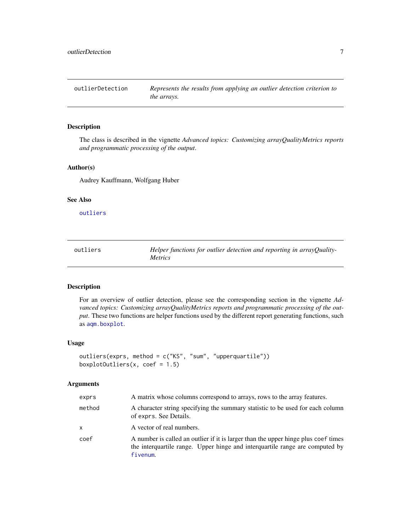<span id="page-6-2"></span><span id="page-6-0"></span>outlierDetection *Represents the results from applying an outlier detection criterion to the arrays.*

#### Description

The class is described in the vignette *Advanced topics: Customizing arrayQualityMetrics reports and programmatic processing of the output*.

#### Author(s)

Audrey Kauffmann, Wolfgang Huber

#### See Also

[outliers](#page-6-1)

<span id="page-6-1"></span>

| outliers | Helper functions for outlier detection and reporting in arrayQuality- |
|----------|-----------------------------------------------------------------------|
|          | <i>Metrics</i>                                                        |

#### Description

For an overview of outlier detection, please see the corresponding section in the vignette *Advanced topics: Customizing arrayQualityMetrics reports and programmatic processing of the output*. These two functions are helper functions used by the different report generating functions, such as [aqm.boxplot](#page-4-1).

#### Usage

```
outliers(exprs, method = c("KS", "sum", "upperquartile"))
boxplotOutliers(x, coef = 1.5)
```
#### Arguments

| exprs  | A matrix whose columns correspond to arrays, rows to the array features.                                                                                                       |
|--------|--------------------------------------------------------------------------------------------------------------------------------------------------------------------------------|
| method | A character string specifying the summary statistic to be used for each column<br>of exprs. See Details.                                                                       |
| X      | A vector of real numbers.                                                                                                                                                      |
| coef   | A number is called an outlier if it is larger than the upper hinge plus coef times<br>the interquartile range. Upper hinge and interquartile range are computed by<br>fivenum. |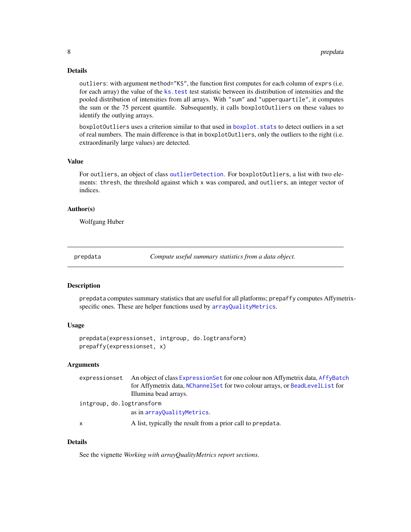#### <span id="page-7-0"></span>Details

outliers: with argument method="KS", the function first computes for each column of exprs (i.e. for each array) the value of the ks. test test statistic between its distribution of intensities and the pooled distribution of intensities from all arrays. With "sum" and "upperquartile", it computes the sum or the 75 percent quantile. Subsequently, it calls boxplotOutliers on these values to identify the outlying arrays.

boxplotOutliers uses a criterion similar to that used in [boxplot.stats](#page-0-0) to detect outliers in a set of real numbers. The main difference is that in boxplotOutliers, only the outliers to the right (i.e. extraordinarily large values) are detected.

#### Value

For outliers, an object of class [outlierDetection](#page-6-2). For boxplotOutliers, a list with two elements: thresh, the threshold against which x was compared, and outliers, an integer vector of indices.

#### Author(s)

Wolfgang Huber

<span id="page-7-1"></span>prepdata *Compute useful summary statistics from a data object.*

#### **Description**

prepdata computes summary statistics that are useful for all platforms; prepaffy computes Affymetrixspecific ones. These are helper functions used by [arrayQualityMetrics](#page-3-1).

### Usage

prepdata(expressionset, intgroup, do.logtransform) prepaffy(expressionset, x)

#### Arguments

|                           | expressionset An object of class ExpressionSet for one colour non Affymetrix data, AffyBatch |  |
|---------------------------|----------------------------------------------------------------------------------------------|--|
|                           | for Affymetrix data, NChannel Set for two colour arrays, or BeadLevelList for                |  |
|                           | Illumina bead arrays.                                                                        |  |
| intgroup, do.logtransform |                                                                                              |  |
|                           | as in array Quality Metrics.                                                                 |  |
| x                         | A list, typically the result from a prior call to prepdata.                                  |  |
|                           |                                                                                              |  |

#### Details

See the vignette *Working with arrayQualityMetrics report sections*.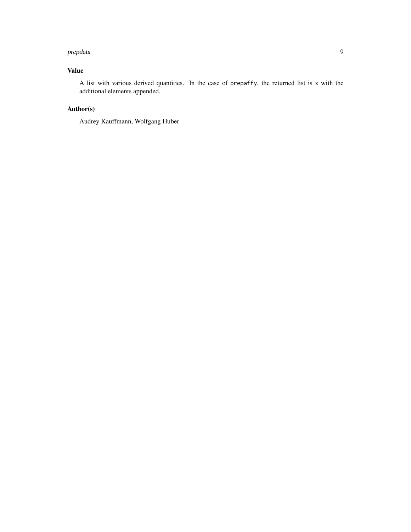#### prepdata and the set of the set of the set of the set of the set of the set of the set of the set of the set of the set of the set of the set of the set of the set of the set of the set of the set of the set of the set of

### Value

A list with various derived quantities. In the case of prepaffy, the returned list is x with the additional elements appended.

# Author(s)

Audrey Kauffmann, Wolfgang Huber